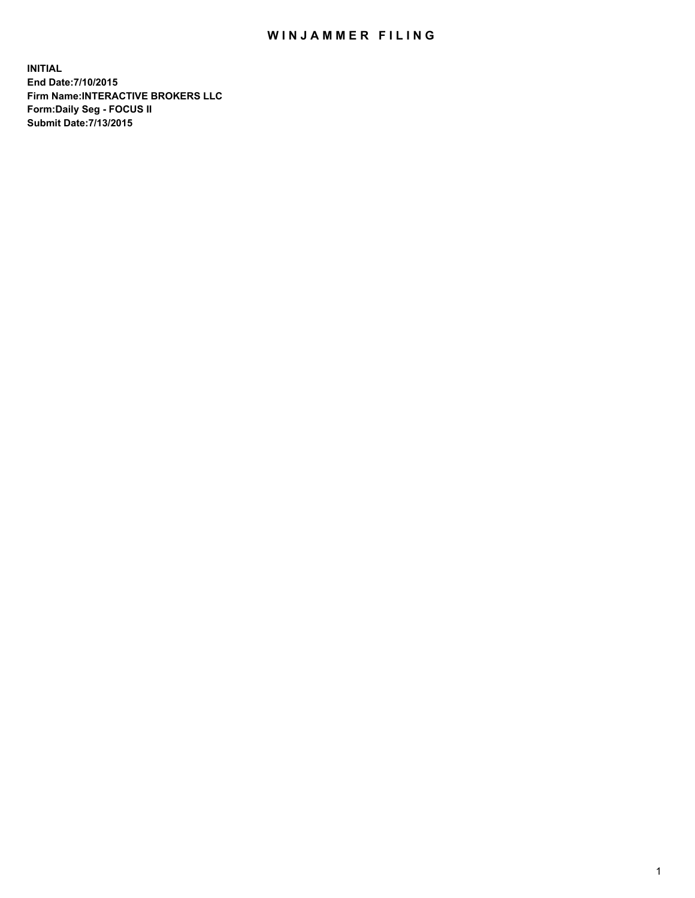## WIN JAMMER FILING

**INITIAL End Date:7/10/2015 Firm Name:INTERACTIVE BROKERS LLC Form:Daily Seg - FOCUS II Submit Date:7/13/2015**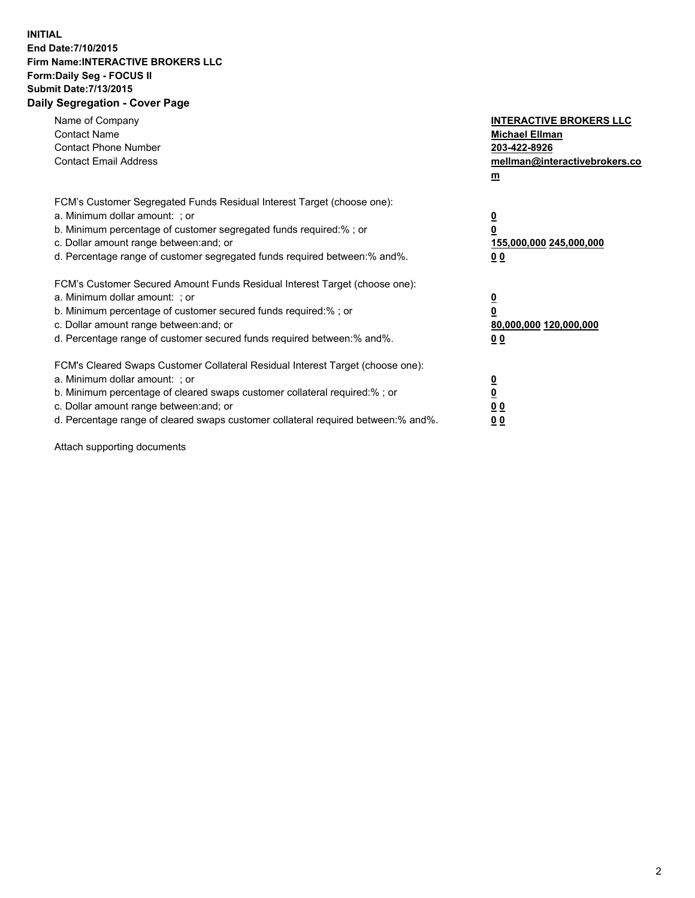## **INITIAL End Date:7/10/2015 Firm Name:INTERACTIVE BROKERS LLC Form:Daily Seg - FOCUS II Submit Date:7/13/2015 Daily Segregation - Cover Page**

| Name of Company<br><b>Contact Name</b><br><b>Contact Phone Number</b><br><b>Contact Email Address</b>                                                                                                                                                                                                                          | <b>INTERACTIVE BROKERS LLC</b><br><b>Michael Ellman</b><br>203-422-8926<br>mellman@interactivebrokers.co<br>$m$ |
|--------------------------------------------------------------------------------------------------------------------------------------------------------------------------------------------------------------------------------------------------------------------------------------------------------------------------------|-----------------------------------------------------------------------------------------------------------------|
| FCM's Customer Segregated Funds Residual Interest Target (choose one):<br>a. Minimum dollar amount: ; or<br>b. Minimum percentage of customer segregated funds required:% ; or<br>c. Dollar amount range between: and; or<br>d. Percentage range of customer segregated funds required between: % and %.                       | $\overline{\mathbf{0}}$<br>0<br>155,000,000 245,000,000<br>00                                                   |
| FCM's Customer Secured Amount Funds Residual Interest Target (choose one):<br>a. Minimum dollar amount: ; or<br>b. Minimum percentage of customer secured funds required:%; or<br>c. Dollar amount range between: and; or<br>d. Percentage range of customer secured funds required between: % and %.                          | $\overline{\mathbf{0}}$<br>0<br>80,000,000 120,000,000<br>0 <sub>0</sub>                                        |
| FCM's Cleared Swaps Customer Collateral Residual Interest Target (choose one):<br>a. Minimum dollar amount: ; or<br>b. Minimum percentage of cleared swaps customer collateral required:% ; or<br>c. Dollar amount range between: and; or<br>d. Percentage range of cleared swaps customer collateral required between:% and%. | $\overline{\mathbf{0}}$<br>$\underline{\mathbf{0}}$<br>0 <sub>0</sub><br>0 <sub>0</sub>                         |

Attach supporting documents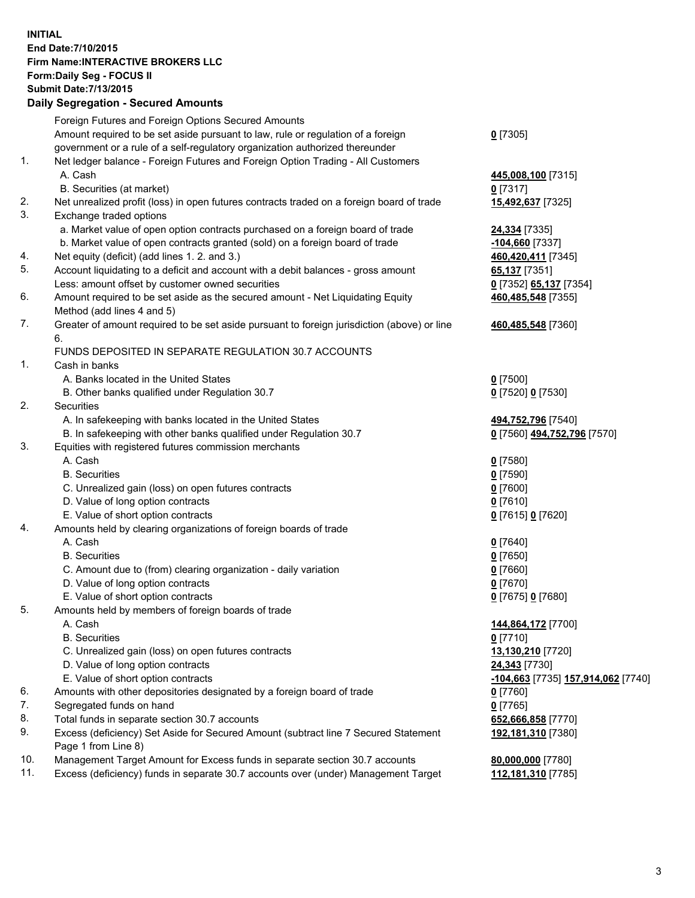## **INITIAL End Date:7/10/2015 Firm Name:INTERACTIVE BROKERS LLC Form:Daily Seg - FOCUS II Submit Date:7/13/2015 Daily Segregation - Secured Amounts**

|                | Daily Jegregation - Jeculed Aniounts                                                                       |                                    |
|----------------|------------------------------------------------------------------------------------------------------------|------------------------------------|
|                | Foreign Futures and Foreign Options Secured Amounts                                                        |                                    |
|                | Amount required to be set aside pursuant to law, rule or regulation of a foreign                           | $0$ [7305]                         |
|                | government or a rule of a self-regulatory organization authorized thereunder                               |                                    |
| 1.             | Net ledger balance - Foreign Futures and Foreign Option Trading - All Customers                            |                                    |
|                | A. Cash                                                                                                    | 445,008,100 [7315]                 |
|                | B. Securities (at market)                                                                                  | $0$ [7317]                         |
| 2.             | Net unrealized profit (loss) in open futures contracts traded on a foreign board of trade                  | 15,492,637 [7325]                  |
| 3.             | Exchange traded options                                                                                    |                                    |
|                | a. Market value of open option contracts purchased on a foreign board of trade                             | <b>24,334</b> [7335]               |
|                | b. Market value of open contracts granted (sold) on a foreign board of trade                               | -104,660 [7337]                    |
| 4.             | Net equity (deficit) (add lines 1. 2. and 3.)                                                              | 460,420,411 [7345]                 |
| 5.             | Account liquidating to a deficit and account with a debit balances - gross amount                          | 65,137 [7351]                      |
|                | Less: amount offset by customer owned securities                                                           | 0 [7352] 65,137 [7354]             |
| 6.             | Amount required to be set aside as the secured amount - Net Liquidating Equity                             | 460,485,548 [7355]                 |
|                | Method (add lines 4 and 5)                                                                                 |                                    |
| 7.             | Greater of amount required to be set aside pursuant to foreign jurisdiction (above) or line                | 460,485,548 [7360]                 |
|                | 6.                                                                                                         |                                    |
|                | FUNDS DEPOSITED IN SEPARATE REGULATION 30.7 ACCOUNTS                                                       |                                    |
| $\mathbf{1}$ . | Cash in banks                                                                                              |                                    |
|                | A. Banks located in the United States                                                                      | $0$ [7500]                         |
|                | B. Other banks qualified under Regulation 30.7                                                             | 0 [7520] 0 [7530]                  |
| 2.             | Securities                                                                                                 |                                    |
|                | A. In safekeeping with banks located in the United States                                                  | 494,752,796 [7540]                 |
|                | B. In safekeeping with other banks qualified under Regulation 30.7                                         | 0 [7560] 494,752,796 [7570]        |
| 3.             | Equities with registered futures commission merchants                                                      |                                    |
|                | A. Cash                                                                                                    | $0$ [7580]                         |
|                | <b>B.</b> Securities                                                                                       | $0$ [7590]                         |
|                | C. Unrealized gain (loss) on open futures contracts                                                        | $0$ [7600]                         |
|                | D. Value of long option contracts                                                                          | $0$ [7610]                         |
|                | E. Value of short option contracts                                                                         | 0 [7615] 0 [7620]                  |
| 4.             | Amounts held by clearing organizations of foreign boards of trade                                          |                                    |
|                | A. Cash                                                                                                    | $0$ [7640]                         |
|                | <b>B.</b> Securities                                                                                       | $0$ [7650]                         |
|                | C. Amount due to (from) clearing organization - daily variation                                            | $0$ [7660]                         |
|                | D. Value of long option contracts                                                                          | $0$ [7670]                         |
|                | E. Value of short option contracts                                                                         | 0 [7675] 0 [7680]                  |
| 5.             | Amounts held by members of foreign boards of trade                                                         |                                    |
|                | A. Cash                                                                                                    | 144,864,172 [7700]                 |
|                | <b>B.</b> Securities                                                                                       | $0$ [7710]                         |
|                | C. Unrealized gain (loss) on open futures contracts                                                        | 13,130,210 [7720]                  |
|                | D. Value of long option contracts                                                                          | 24,343 [7730]                      |
|                | E. Value of short option contracts                                                                         | -104,663 [7735] 157,914,062 [7740] |
| 6.             | Amounts with other depositories designated by a foreign board of trade                                     | 0 [7760]                           |
| 7.             | Segregated funds on hand                                                                                   | $0$ [7765]                         |
| 8.             | Total funds in separate section 30.7 accounts                                                              | 652,666,858 [7770]                 |
| 9.             | Excess (deficiency) Set Aside for Secured Amount (subtract line 7 Secured Statement<br>Page 1 from Line 8) | 192,181,310 [7380]                 |
| 10.            | Management Target Amount for Excess funds in separate section 30.7 accounts                                | 80,000,000 [7780]                  |
| 11.            | Excess (deficiency) funds in separate 30.7 accounts over (under) Management Target                         | 112,181,310 [7785]                 |
|                |                                                                                                            |                                    |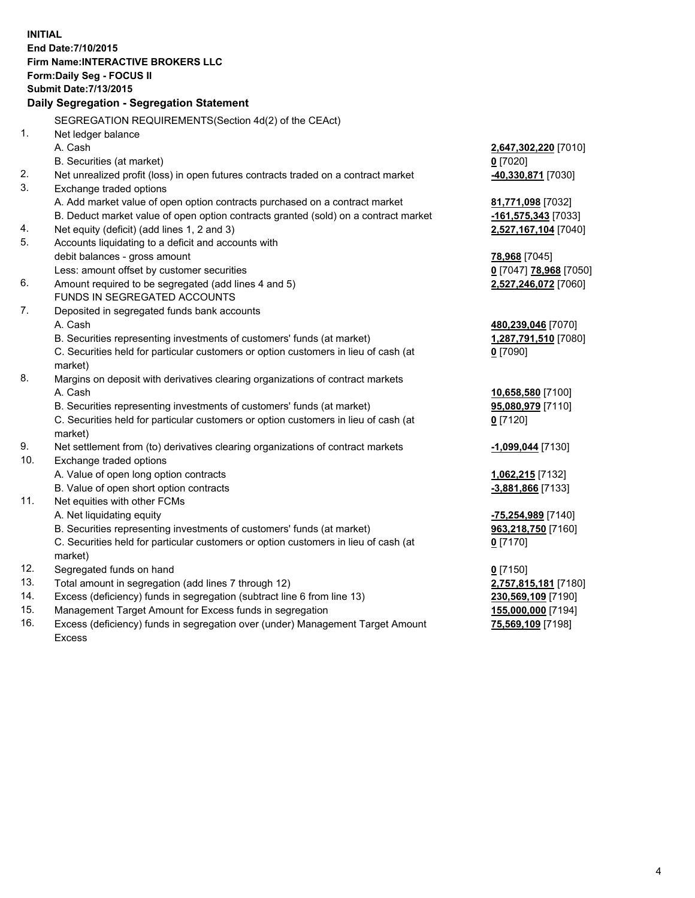**INITIAL End Date:7/10/2015 Firm Name:INTERACTIVE BROKERS LLC Form:Daily Seg - FOCUS II Submit Date:7/13/2015 Daily Segregation - Segregation Statement** SEGREGATION REQUIREMENTS(Section 4d(2) of the CEAct) 1. Net ledger balance A. Cash **2,647,302,220** [7010] B. Securities (at market) **0** [7020] 2. Net unrealized profit (loss) in open futures contracts traded on a contract market **-40,330,871** [7030] 3. Exchange traded options A. Add market value of open option contracts purchased on a contract market **81,771,098** [7032] B. Deduct market value of open option contracts granted (sold) on a contract market **-161,575,343** [7033] 4. Net equity (deficit) (add lines 1, 2 and 3) **2,527,167,104** [7040] 5. Accounts liquidating to a deficit and accounts with debit balances - gross amount **78,968** [7045] Less: amount offset by customer securities **0** [7047] **78,968** [7050] 6. Amount required to be segregated (add lines 4 and 5) **2,527,246,072** [7060] FUNDS IN SEGREGATED ACCOUNTS 7. Deposited in segregated funds bank accounts A. Cash **480,239,046** [7070] B. Securities representing investments of customers' funds (at market) **1,287,791,510** [7080] C. Securities held for particular customers or option customers in lieu of cash (at market) **0** [7090] 8. Margins on deposit with derivatives clearing organizations of contract markets A. Cash **10,658,580** [7100] B. Securities representing investments of customers' funds (at market) **95,080,979** [7110] C. Securities held for particular customers or option customers in lieu of cash (at market) **0** [7120] 9. Net settlement from (to) derivatives clearing organizations of contract markets **-1,099,044** [7130] 10. Exchange traded options A. Value of open long option contracts **1,062,215** [7132] B. Value of open short option contracts **-3,881,866** [7133] 11. Net equities with other FCMs A. Net liquidating equity **-75,254,989** [7140] B. Securities representing investments of customers' funds (at market) **963,218,750** [7160] C. Securities held for particular customers or option customers in lieu of cash (at market) **0** [7170] 12. Segregated funds on hand **0** [7150] 13. Total amount in segregation (add lines 7 through 12) **2,757,815,181** [7180] 14. Excess (deficiency) funds in segregation (subtract line 6 from line 13) **230,569,109** [7190] 15. Management Target Amount for Excess funds in segregation **155,000,000** [7194]

16. Excess (deficiency) funds in segregation over (under) Management Target Amount Excess

**75,569,109** [7198]